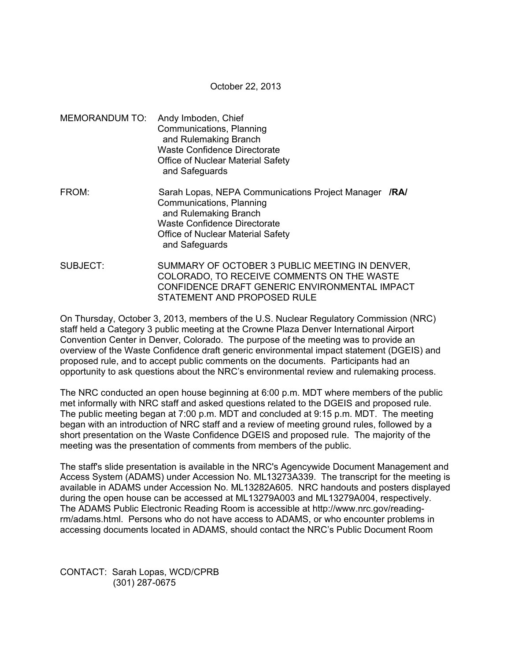October 22, 2013

- MEMORANDUM TO: Andy Imboden, Chief Communications, Planning and Rulemaking Branch Waste Confidence Directorate Office of Nuclear Material Safety and Safeguards
- FROM: Sarah Lopas, NEPA Communications Project Manager **/RA/**  Communications, Planning and Rulemaking Branch Waste Confidence Directorate Office of Nuclear Material Safety and Safeguards
- SUBJECT: SUMMARY OF OCTOBER 3 PUBLIC MEETING IN DENVER, COLORADO, TO RECEIVE COMMENTS ON THE WASTE CONFIDENCE DRAFT GENERIC ENVIRONMENTAL IMPACT STATEMENT AND PROPOSED RULE

On Thursday, October 3, 2013, members of the U.S. Nuclear Regulatory Commission (NRC) staff held a Category 3 public meeting at the Crowne Plaza Denver International Airport Convention Center in Denver, Colorado. The purpose of the meeting was to provide an overview of the Waste Confidence draft generic environmental impact statement (DGEIS) and proposed rule, and to accept public comments on the documents. Participants had an opportunity to ask questions about the NRC's environmental review and rulemaking process.

The NRC conducted an open house beginning at 6:00 p.m. MDT where members of the public met informally with NRC staff and asked questions related to the DGEIS and proposed rule. The public meeting began at 7:00 p.m. MDT and concluded at 9:15 p.m. MDT. The meeting began with an introduction of NRC staff and a review of meeting ground rules, followed by a short presentation on the Waste Confidence DGEIS and proposed rule. The majority of the meeting was the presentation of comments from members of the public.

The staff's slide presentation is available in the NRC's Agencywide Document Management and Access System (ADAMS) under Accession No. ML13273A339. The transcript for the meeting is available in ADAMS under Accession No. ML13282A605. NRC handouts and posters displayed during the open house can be accessed at ML13279A003 and ML13279A004, respectively. The ADAMS Public Electronic Reading Room is accessible at http://www.nrc.gov/readingrm/adams.html. Persons who do not have access to ADAMS, or who encounter problems in accessing documents located in ADAMS, should contact the NRC's Public Document Room

CONTACT: Sarah Lopas, WCD/CPRB (301) 287-0675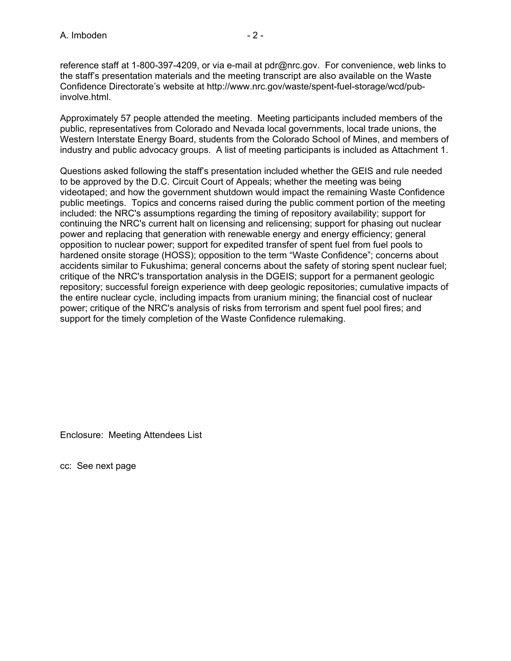reference staff at 1-800-397-4209, or via e-mail at pdr@nrc.gov. For convenience, web links to the staff's presentation materials and the meeting transcript are also available on the Waste Confidence Directorate's website at http://www.nrc.gov/waste/spent-fuel-storage/wcd/pubinvolve.html.

Approximately 57 people attended the meeting. Meeting participants included members of the public, representatives from Colorado and Nevada local governments, local trade unions, the Western Interstate Energy Board, students from the Colorado School of Mines, and members of industry and public advocacy groups. A list of meeting participants is included as Attachment 1.

Questions asked following the staff's presentation included whether the GEIS and rule needed to be approved by the D.C. Circuit Court of Appeals; whether the meeting was being videotaped; and how the government shutdown would impact the remaining Waste Confidence public meetings. Topics and concerns raised during the public comment portion of the meeting included: the NRC's assumptions regarding the timing of repository availability; support for continuing the NRC's current halt on licensing and relicensing; support for phasing out nuclear power and replacing that generation with renewable energy and energy efficiency; general opposition to nuclear power; support for expedited transfer of spent fuel from fuel pools to hardened onsite storage (HOSS); opposition to the term "Waste Confidence"; concerns about accidents similar to Fukushima; general concerns about the safety of storing spent nuclear fuel; critique of the NRC's transportation analysis in the DGEIS; support for a permanent geologic repository; successful foreign experience with deep geologic repositories; cumulative impacts of the entire nuclear cycle, including impacts from uranium mining; the financial cost of nuclear power; critique of the NRC's analysis of risks from terrorism and spent fuel pool fires; and support for the timely completion of the Waste Confidence rulemaking.

Enclosure: Meeting Attendees List

cc: See next page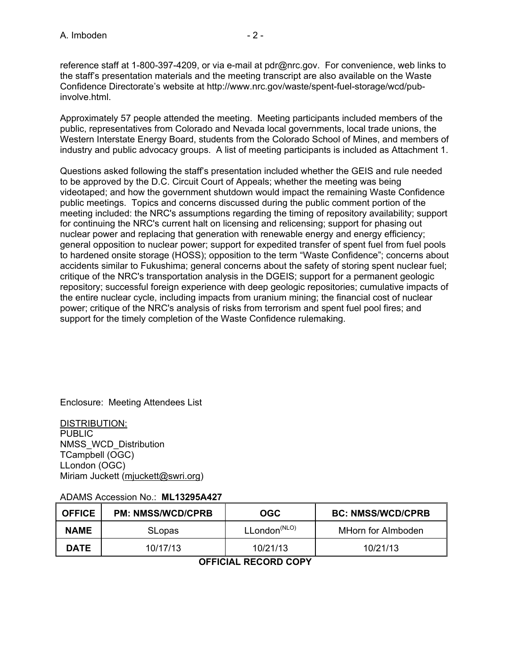reference staff at 1-800-397-4209, or via e-mail at pdr@nrc.gov. For convenience, web links to the staff's presentation materials and the meeting transcript are also available on the Waste Confidence Directorate's website at http://www.nrc.gov/waste/spent-fuel-storage/wcd/pubinvolve.html.

Approximately 57 people attended the meeting. Meeting participants included members of the public, representatives from Colorado and Nevada local governments, local trade unions, the Western Interstate Energy Board, students from the Colorado School of Mines, and members of industry and public advocacy groups. A list of meeting participants is included as Attachment 1.

Questions asked following the staff's presentation included whether the GEIS and rule needed to be approved by the D.C. Circuit Court of Appeals; whether the meeting was being videotaped; and how the government shutdown would impact the remaining Waste Confidence public meetings. Topics and concerns discussed during the public comment portion of the meeting included: the NRC's assumptions regarding the timing of repository availability; support for continuing the NRC's current halt on licensing and relicensing; support for phasing out nuclear power and replacing that generation with renewable energy and energy efficiency; general opposition to nuclear power; support for expedited transfer of spent fuel from fuel pools to hardened onsite storage (HOSS); opposition to the term "Waste Confidence"; concerns about accidents similar to Fukushima; general concerns about the safety of storing spent nuclear fuel; critique of the NRC's transportation analysis in the DGEIS; support for a permanent geologic repository; successful foreign experience with deep geologic repositories; cumulative impacts of the entire nuclear cycle, including impacts from uranium mining; the financial cost of nuclear power; critique of the NRC's analysis of risks from terrorism and spent fuel pool fires; and support for the timely completion of the Waste Confidence rulemaking.

Enclosure: Meeting Attendees List

DISTRIBUTION: PUBLIC NMSS\_WCD\_Distribution TCampbell (OGC) LLondon (OGC) Miriam Juckett (mjuckett@swri.org)

## ADAMS Accession No.: **ML13295A427**

| <b>OFFICE</b> | <b>PM: NMSS/WCD/CPRB</b> | OGC                         | <b>BC: NMSS/WCD/CPRB</b> |
|---------------|--------------------------|-----------------------------|--------------------------|
| <b>NAME</b>   | <b>SLopas</b>            | $L$ London <sup>(NLO)</sup> | MHorn for Almboden       |
| <b>DATE</b>   | 10/17/13                 | 10/21/13                    | 10/21/13                 |

## **OFFICIAL RECORD COPY**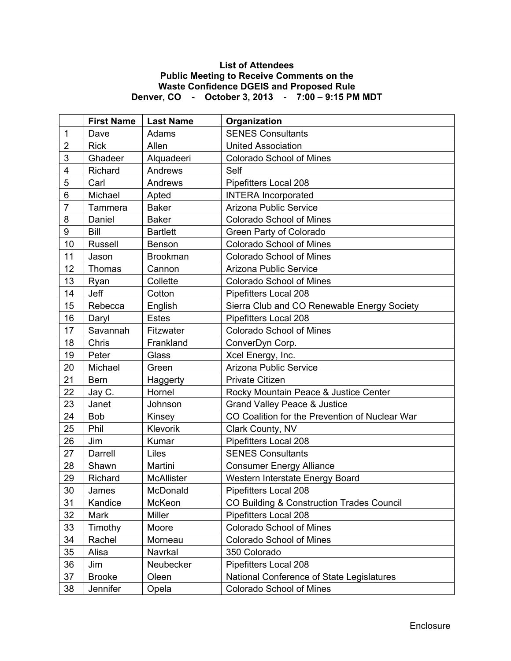## **List of Attendees Public Meeting to Receive Comments on the Waste Confidence DGEIS and Proposed Rule Denver, CO - October 3, 2013 - 7:00 – 9:15 PM MDT**

|                | <b>First Name</b> | <b>Last Name</b>  | Organization                                   |
|----------------|-------------------|-------------------|------------------------------------------------|
| 1              | Dave              | Adams             | <b>SENES Consultants</b>                       |
| $\overline{2}$ | <b>Rick</b>       | Allen             | <b>United Association</b>                      |
| 3              | Ghadeer           | Alquadeeri        | <b>Colorado School of Mines</b>                |
| 4              | Richard           | Andrews           | Self                                           |
| 5              | Carl              | Andrews           | Pipefitters Local 208                          |
| 6              | Michael           | Apted             | <b>INTERA</b> Incorporated                     |
| $\overline{7}$ | Tammera           | <b>Baker</b>      | Arizona Public Service                         |
| 8              | Daniel            | <b>Baker</b>      | <b>Colorado School of Mines</b>                |
| 9              | <b>Bill</b>       | <b>Bartlett</b>   | Green Party of Colorado                        |
| 10             | <b>Russell</b>    | Benson            | <b>Colorado School of Mines</b>                |
| 11             | Jason             | <b>Brookman</b>   | <b>Colorado School of Mines</b>                |
| 12             | Thomas            | Cannon            | Arizona Public Service                         |
| 13             | Ryan              | Collette          | <b>Colorado School of Mines</b>                |
| 14             | Jeff              | Cotton            | Pipefitters Local 208                          |
| 15             | Rebecca           | English           | Sierra Club and CO Renewable Energy Society    |
| 16             | Daryl             | <b>Estes</b>      | Pipefitters Local 208                          |
| 17             | Savannah          | Fitzwater         | <b>Colorado School of Mines</b>                |
| 18             | Chris             | Frankland         | ConverDyn Corp.                                |
| 19             | Peter             | Glass             | Xcel Energy, Inc.                              |
| 20             | Michael           | Green             | Arizona Public Service                         |
| 21             | <b>Bern</b>       | Haggerty          | <b>Private Citizen</b>                         |
| 22             | Jay C.            | Hornel            | Rocky Mountain Peace & Justice Center          |
| 23             | Janet             | Johnson           | <b>Grand Valley Peace &amp; Justice</b>        |
| 24             | <b>Bob</b>        | Kinsey            | CO Coalition for the Prevention of Nuclear War |
| 25             | Phil              | Klevorik          | Clark County, NV                               |
| 26             | Jim               | Kumar             | Pipefitters Local 208                          |
| 27             | Darrell           | Liles             | <b>SENES Consultants</b>                       |
| 28             | Shawn             | Martini           | <b>Consumer Energy Alliance</b>                |
| 29             | Richard           | <b>McAllister</b> | Western Interstate Energy Board                |
| 30             | James             | McDonald          | Pipefitters Local 208                          |
| 31             | Kandice           | McKeon            | CO Building & Construction Trades Council      |
| 32             | Mark              | <b>Miller</b>     | Pipefitters Local 208                          |
| 33             | Timothy           | Moore             | <b>Colorado School of Mines</b>                |
| 34             | Rachel            | Morneau           | <b>Colorado School of Mines</b>                |
| 35             | Alisa             | Navrkal           | 350 Colorado                                   |
| 36             | Jim               | Neubecker         | Pipefitters Local 208                          |
| 37             | <b>Brooke</b>     | Oleen             | National Conference of State Legislatures      |
| 38             | Jennifer          | Opela             | <b>Colorado School of Mines</b>                |